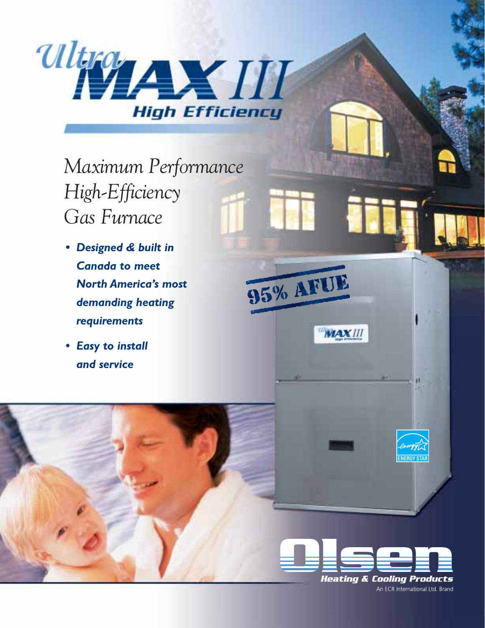

# *Maximum Performance High-Efficiency Gas Furnace*

- *• Designed & built in Canada to meet North America's most demanding heating requirements*
- *• Easy to install and service*





**NERGY STA** 

95% AFTE

**MAXIII**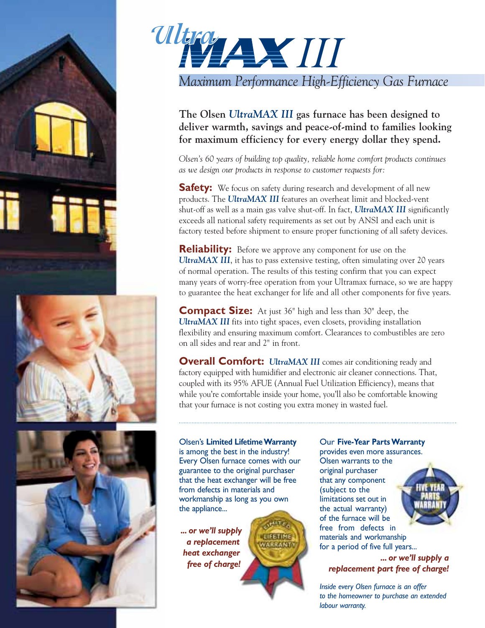







**The Olsen** *UltraMAX III* **gas furnace has been designed to deliver warmth, savings and peace-of-mind to families looking for maximum efficiency for every energy dollar they spend.**

*Olsen's 60 years of building top quality, reliable home comfort products continues as we design our products in response to customer requests for:*

**Safety:** We focus on safety during research and development of all new products. The *UltraMAX III* features an overheat limit and blocked-vent shut-off as well as a main gas valve shut-off. In fact, *UltraMAX III* significantly exceeds all national safety requirements as set out by ANSI and each unit is factory tested before shipment to ensure proper functioning of all safety devices.

**Reliability:** Before we approve any component for use on the *UltraMAX III*, it has to pass extensive testing, often simulating over 20 years of normal operation. The results of this testing confirm that you can expect many years of worry-free operation from your Ultramax furnace, so we are happy to guarantee the heat exchanger for life and all other components for five years.

**Compact Size:** At just 36" high and less than 30" deep, the *UltraMAX III* fits into tight spaces, even closets, providing installation flexibility and ensuring maximum comfort. Clearances to combustibles are zero on all sides and rear and 2" in front.

**Overall Comfort:** *UltraMAX III* comes air conditioning ready and factory equipped with humidifier and electronic air cleaner connections. That, coupled with its 95% AFUE (Annual Fuel Utilization Efficiency), means that while you're comfortable inside your home, you'll also be comfortable knowing that your furnace is not costing you extra money in wasted fuel.

#### Olsen's **Limited Lifetime Warranty** is among the best in the industry! Every Olsen furnace comes with our guarantee to the original purchaser that the heat exchanger will be free from defects in materials and workmanship as long as you own the appliance...

**CIEETISE VARRANT** 

*... or we'll supply a replacement heat exchanger free of charge!*

#### Our **Five-Year Parts Warranty**

provides even more assurances. Olsen warrants to the original purchaser that any component (subject to the limitations set out in the actual warranty) of the furnace will be free from defects in materials and workmanship for a period of five full years...

*... or we'll supply a replacement part free of charge!*

*Inside every Olsen furnace is an offer to the homeowner to purchase an extended labour warranty.*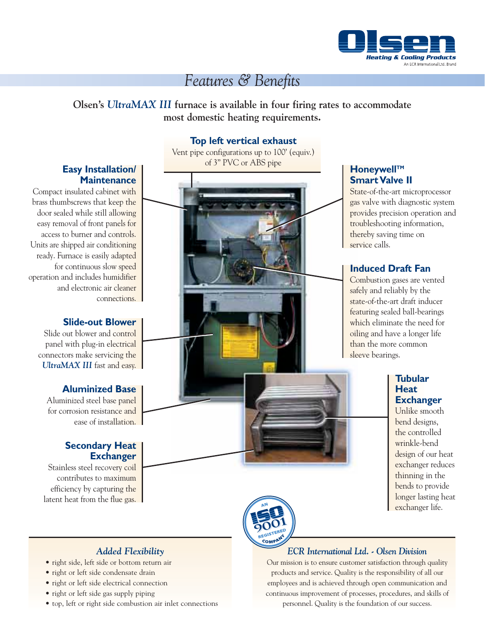

# *Features & Benefits*

### **Olsen's** *UltraMAX III* **furnace is available in four firing rates to accommodate most domestic heating requirements.**

#### **Top left vertical exhaust**

Vent pipe configurations up to 100' (equiv.) of 3" PVC or ABS pipe

#### **Honeywell™ Smart Valve II**

State-of-the-art microprocessor gas valve with diagnostic system provides precision operation and troubleshooting information, thereby saving time on service calls.

#### **Induced Draft Fan**

Combustion gases are vented safely and reliably by the state-of-the-art draft inducer featuring sealed ball-bearings which eliminate the need for oiling and have a longer life than the more common sleeve bearings.

#### **Tubular Heat Exchanger**

Unlike smooth bend designs, the controlled wrinkle-bend design of our heat exchanger reduces thinning in the bends to provide longer lasting heat exchanger life.



#### *ECR International Ltd. - Olsen Division*

Our mission is to ensure customer satisfaction through quality products and service. Quality is the responsibility of all our employees and is achieved through open communication and continuous improvement of processes, procedures, and skills of personnel. Quality is the foundation of our success.

#### **Easy Installation/ Maintenance**

Compact insulated cabinet with brass thumbscrews that keep the door sealed while still allowing easy removal of front panels for access to burner and controls. Units are shipped air conditioning ready. Furnace is easily adapted for continuous slow speed operation and includes humidifier and electronic air cleaner connections.

#### **Slide-out Blower**

Slide out blower and control panel with plug-in electrical connectors make servicing the *UltraMAX III* fast and easy.

#### **Aluminized Base**

Aluminized steel base panel for corrosion resistance and ease of installation.

#### **Secondary Heat Exchanger**

Stainless steel recovery coil contributes to maximum efficiency by capturing the latent heat from the flue gas.



#### *Added Flexibility*

- right side, left side or bottom return air
- right or left side condensate drain
- right or left side electrical connection
- right or left side gas supply piping
- top, left or right side combustion air inlet connections